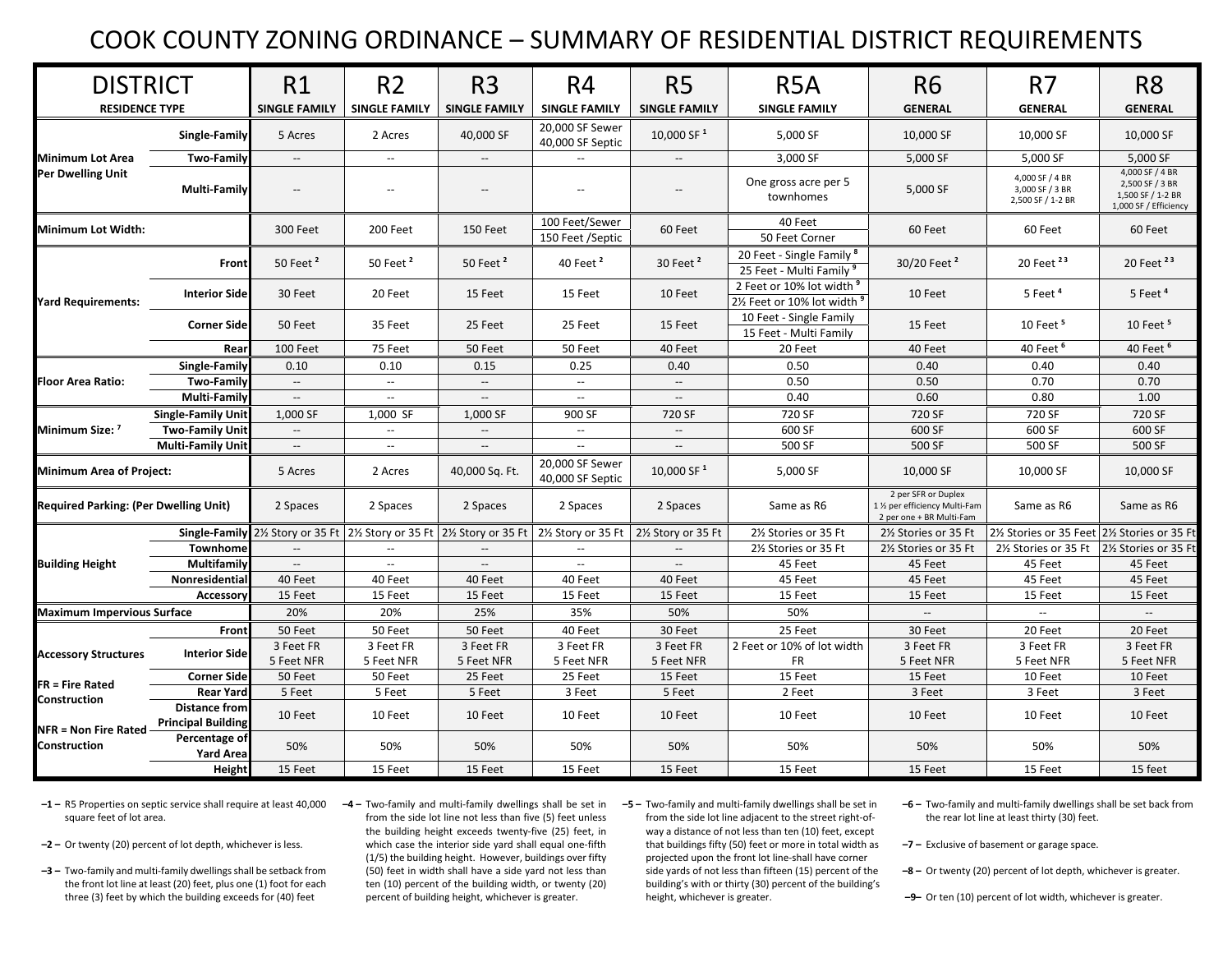## COOK COUNTY ZONING ORDINANCE – SUMMARY OF RESIDENTIAL DISTRICT REQUIREMENTS

| <b>DISTRICT</b>                                                       |                                                   | R1                       | R <sub>2</sub>                                                                                                                                                 | R <sub>3</sub>           | R4                                  | R <sub>5</sub>           | R <sub>5</sub> A                                                      | <b>R6</b>                                                                         | R <sub>7</sub>                                          | R <sub>8</sub>                                                                   |
|-----------------------------------------------------------------------|---------------------------------------------------|--------------------------|----------------------------------------------------------------------------------------------------------------------------------------------------------------|--------------------------|-------------------------------------|--------------------------|-----------------------------------------------------------------------|-----------------------------------------------------------------------------------|---------------------------------------------------------|----------------------------------------------------------------------------------|
| <b>RESIDENCE TYPE</b>                                                 |                                                   | <b>SINGLE FAMILY</b>     | <b>SINGLE FAMILY</b>                                                                                                                                           | <b>SINGLE FAMILY</b>     | <b>SINGLE FAMILY</b>                | <b>SINGLE FAMILY</b>     | <b>SINGLE FAMILY</b>                                                  | <b>GENERAL</b>                                                                    | <b>GENERAL</b>                                          | <b>GENERAL</b>                                                                   |
| <b>Minimum Lot Area</b><br><b>Per Dwelling Unit</b>                   | <b>Single-Family</b>                              | 5 Acres                  | 2 Acres                                                                                                                                                        | 40,000 SF                | 20,000 SF Sewer<br>40,000 SF Septic | 10,000 SF <sup>1</sup>   | 5,000 SF                                                              | 10,000 SF                                                                         | 10,000 SF                                               | 10,000 SF                                                                        |
|                                                                       | <b>Two-Family</b>                                 | $\overline{\phantom{a}}$ | $\overline{\phantom{a}}$                                                                                                                                       | $\overline{\phantom{a}}$ | $\overline{\phantom{a}}$            | $\overline{\phantom{a}}$ | 3,000 SF                                                              | 5,000 SF                                                                          | 5,000 SF                                                | 5,000 SF                                                                         |
|                                                                       | Multi-Family                                      |                          | $\overline{a}$                                                                                                                                                 |                          | $\overline{a}$                      | $\overline{a}$           | One gross acre per 5<br>townhomes                                     | 5,000 SF                                                                          | 4,000 SF / 4 BR<br>3,000 SF / 3 BR<br>2,500 SF / 1-2 BR | 4,000 SF / 4 BR<br>2,500 SF / 3 BR<br>1,500 SF / 1-2 BR<br>1,000 SF / Efficiency |
| Minimum Lot Width:                                                    |                                                   | 300 Feet                 | 200 Feet                                                                                                                                                       | 150 Feet                 | 100 Feet/Sewer<br>150 Feet /Septic  | 60 Feet                  | 40 Feet<br>50 Feet Corner                                             | 60 Feet                                                                           | 60 Feet                                                 | 60 Feet                                                                          |
| <b>Yard Requirements:</b>                                             | Front                                             | 50 Feet <sup>2</sup>     | 50 Feet <sup>2</sup>                                                                                                                                           | 50 Feet <sup>2</sup>     | 40 Feet <sup>2</sup>                | 30 Feet $2$              | 20 Feet - Single Family <sup>8</sup><br>25 Feet - Multi Family 9      | 30/20 Feet <sup>2</sup>                                                           | 20 Feet <sup>23</sup>                                   | 20 Feet <sup>23</sup>                                                            |
|                                                                       | <b>Interior Side</b>                              | 30 Feet                  | 20 Feet                                                                                                                                                        | 15 Feet                  | 15 Feet                             | 10 Feet                  | 2 Feet or 10% lot width 9<br>21/ <sub>2</sub> Feet or 10% lot width 9 | 10 Feet                                                                           | 5 Feet <sup>4</sup>                                     | 5 Feet <sup>4</sup>                                                              |
|                                                                       | <b>Corner Side</b>                                | 50 Feet                  | 35 Feet                                                                                                                                                        | 25 Feet                  | 25 Feet                             | 15 Feet                  | 10 Feet - Single Family<br>15 Feet - Multi Family                     | 15 Feet                                                                           | 10 Feet <sup>5</sup>                                    | 10 Feet <sup>5</sup>                                                             |
|                                                                       | Rear                                              | 100 Feet                 | 75 Feet                                                                                                                                                        | 50 Feet                  | 50 Feet                             | 40 Feet                  | 20 Feet                                                               | 40 Feet                                                                           | 40 Feet <sup>6</sup>                                    | 40 Feet <sup>6</sup>                                                             |
| <b>Floor Area Ratio:</b>                                              | <b>Single-Family</b>                              | 0.10                     | 0.10                                                                                                                                                           | 0.15                     | 0.25                                | 0.40                     | 0.50                                                                  | 0.40                                                                              | 0.40                                                    | 0.40                                                                             |
|                                                                       | <b>Two-Family</b>                                 | $\overline{\phantom{a}}$ | $\overline{\phantom{a}}$                                                                                                                                       | $\overline{\phantom{a}}$ | $\overline{\phantom{a}}$            | $\overline{\phantom{a}}$ | 0.50                                                                  | 0.50                                                                              | 0.70                                                    | 0.70                                                                             |
|                                                                       | <b>Multi-Family</b>                               | $\sim$                   | $\overline{\phantom{a}}$                                                                                                                                       | $\overline{\phantom{a}}$ | $\overline{\phantom{a}}$            | $\sim$                   | 0.40                                                                  | 0.60                                                                              | 0.80                                                    | 1.00                                                                             |
| Minimum Size: 7                                                       | <b>Single-Family Unit</b>                         | 1.000 SF                 | 1.000 SF                                                                                                                                                       | 1.000 SF                 | 900 SF                              | 720 SF                   | 720 SF                                                                | 720 SF                                                                            | 720 SF                                                  | 720 SF                                                                           |
|                                                                       | <b>Two-Family Unit</b>                            | $\overline{\phantom{a}}$ | $\mathbf{u}$                                                                                                                                                   | $\overline{\phantom{a}}$ | $\overline{\phantom{a}}$            | $\overline{\phantom{a}}$ | 600 SF                                                                | 600 SF                                                                            | 600 SF                                                  | 600 SF                                                                           |
|                                                                       | <b>Multi-Family Unit</b>                          | $\overline{\phantom{a}}$ | $\overline{\phantom{a}}$                                                                                                                                       | $\overline{\phantom{a}}$ | $\overline{\phantom{a}}$            | $\sim$                   | 500 SF                                                                | 500 SF                                                                            | 500 SF                                                  | 500 SF                                                                           |
| <b>Minimum Area of Project:</b>                                       |                                                   | 5 Acres                  | 2 Acres                                                                                                                                                        | 40,000 Sq. Ft.           | 20,000 SF Sewer<br>40,000 SF Septic | 10,000 SF <sup>1</sup>   | 5,000 SF                                                              | 10,000 SF                                                                         | 10.000 SF                                               | 10,000 SF                                                                        |
| <b>Required Parking: (Per Dwelling Unit)</b>                          |                                                   | 2 Spaces                 | 2 Spaces                                                                                                                                                       | 2 Spaces                 | 2 Spaces                            | 2 Spaces                 | Same as R6                                                            | 2 per SFR or Duplex<br>1 1/2 per efficiency Multi-Fam<br>2 per one + BR Multi-Fam | Same as R6                                              | Same as R6                                                                       |
|                                                                       |                                                   |                          | <b>Single-Family</b> 2½ Story or 35 Ft $\left  2 \right\rangle$ Story or 35 Ft $\left  2 \right\rangle$ Story or 35 Ft $\left  2 \right\rangle$ Story or 35 Ft |                          |                                     | 2½ Story or 35 Ft        | 21% Stories or 35 Ft                                                  | 2½ Stories or 35 Ft                                                               | 2½ Stories or 35 Feet 2½ Stories or 35 Ft               |                                                                                  |
| <b>Building Height</b>                                                | Townhome                                          |                          |                                                                                                                                                                | $\overline{\phantom{a}}$ |                                     |                          | 2½ Stories or 35 Ft                                                   | 2½ Stories or 35 Ft                                                               | 2½ Stories or 35 Ft 2½ Stories or 35 Ft                 |                                                                                  |
|                                                                       | Multifamily                                       |                          | $\overline{\phantom{a}}$                                                                                                                                       | $\sim$                   | $\overline{\phantom{a}}$            |                          | 45 Feet                                                               | 45 Feet                                                                           | 45 Feet                                                 | 45 Feet                                                                          |
|                                                                       | Nonresidential                                    | 40 Feet                  | 40 Feet                                                                                                                                                        | 40 Feet                  | 40 Feet                             | 40 Feet                  | 45 Feet                                                               | 45 Feet                                                                           | 45 Feet                                                 | 45 Feet                                                                          |
|                                                                       | Accessory                                         | 15 Feet                  | 15 Feet                                                                                                                                                        | 15 Feet                  | 15 Feet                             | 15 Feet                  | 15 Feet                                                               | 15 Feet                                                                           | 15 Feet                                                 | 15 Feet                                                                          |
| <b>Maximum Impervious Surface</b>                                     |                                                   | 20%                      | 20%                                                                                                                                                            | 25%                      | 35%                                 | 50%                      | 50%                                                                   |                                                                                   | $\sim$                                                  |                                                                                  |
| <b>Accessory Structures</b><br><b>FR = Fire Rated</b><br>Construction | Front                                             | 50 Feet                  | 50 Feet                                                                                                                                                        | 50 Feet                  | 40 Feet                             | 30 Feet                  | 25 Feet                                                               | 30 Feet                                                                           | 20 Feet                                                 | 20 Feet                                                                          |
|                                                                       | <b>Interior Side</b>                              | 3 Feet FR                | 3 Feet FR                                                                                                                                                      | 3 Feet FR                | 3 Feet FR                           | 3 Feet FR                | 2 Feet or 10% of lot width                                            | 3 Feet FR                                                                         | 3 Feet FR                                               | 3 Feet FR                                                                        |
|                                                                       |                                                   | 5 Feet NFR               | 5 Feet NFR                                                                                                                                                     | 5 Feet NFR               | 5 Feet NFR                          | 5 Feet NFR               | <b>FR</b>                                                             | 5 Feet NFR                                                                        | 5 Feet NFR                                              | 5 Feet NFR                                                                       |
|                                                                       | <b>Corner Side</b>                                | 50 Feet                  | 50 Feet                                                                                                                                                        | 25 Feet                  | 25 Feet                             | 15 Feet                  | 15 Feet                                                               | 15 Feet                                                                           | 10 Feet                                                 | 10 Feet                                                                          |
|                                                                       | <b>Rear Yard</b>                                  | 5 Feet                   | 5 Feet                                                                                                                                                         | 5 Feet                   | 3 Feet                              | 5 Feet                   | 2 Feet                                                                | 3 Feet                                                                            | 3 Feet                                                  | 3 Feet                                                                           |
| <b>NFR = Non Fire Rated</b><br>Construction                           | <b>Distance from</b><br><b>Principal Building</b> | 10 Feet                  | 10 Feet                                                                                                                                                        | 10 Feet                  | 10 Feet                             | 10 Feet                  | 10 Feet                                                               | 10 Feet                                                                           | 10 Feet                                                 | 10 Feet                                                                          |
|                                                                       | Percentage of<br><b>Yard Area</b>                 | 50%                      | 50%                                                                                                                                                            | 50%                      | 50%                                 | 50%                      | 50%                                                                   | 50%                                                                               | 50%                                                     | 50%                                                                              |
|                                                                       | <b>Height</b>                                     | 15 Feet                  | 15 Feet                                                                                                                                                        | 15 Feet                  | 15 Feet                             | 15 Feet                  | 15 Feet                                                               | 15 Feet                                                                           | 15 Feet                                                 | 15 feet                                                                          |

**–1 –** R5 Properties on septic service shall require at least 40,000 **–4 –** Two‐family and multi‐family dwellings shall be set in square feet of lot area.

- **–2 –** Or twenty (20) percent of lot depth, whichever is less.
- **–3 –** Two‐family and multi‐family dwellingsshall be setback from the front lot line at least (20) feet, plus one (1) foot for each three (3) feet by which the building exceeds for (40) feet

from the side lot line not less than five (5) feet unless the building height exceeds twenty‐five (25) feet, in which case the interior side yard shall equal one‐fifth (1/5) the building height. However, buildings over fifty (50) feet in width shall have <sup>a</sup> side yard not less than ten (10) percent of the building width, or twenty (20) percent of building height, whichever is greater.

- **–5 –** Two‐family and multi‐family dwellings shall be set in from the side lot line adjacent to the street right‐of‐ way <sup>a</sup> distance of not less than ten (10) feet, except that buildings fifty (50) feet or more in total width as projected upon the front lot line‐shall have corner side yards of not less than fifteen (15) percent of the building's with or thirty (30) percent of the building's height, whichever is greater.
- **–6 –** Two‐family and multi‐family dwellings shall be set back from the rear lot line at least thirty (30) feet.
- **–7 –** Exclusive of basement or garage space.
- **–8 –** Or twenty (20) percent of lot depth, whichever is greater.
- **–9–**Or ten (10) percent of lot width, whichever is greater.